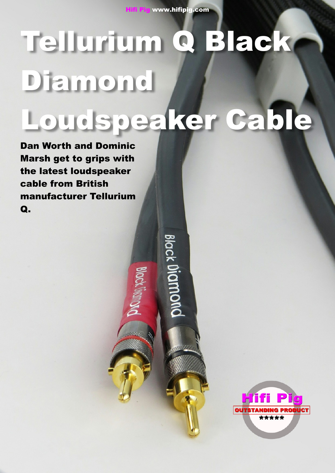**Hifi Pig www.hifipig.com**

# **Tellurium Q Black Diamond Loudspeaker Cable**

Black Diam

**Dan Worth and Dominic Marsh get to grips with the latest loudspeaker cable from British manufacturer Tellurium Q.**

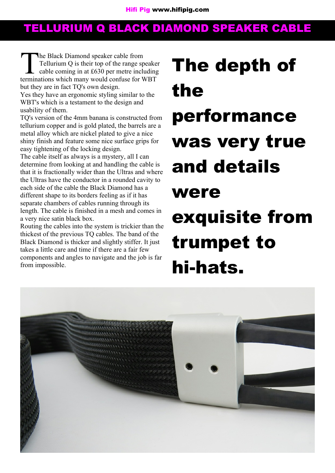The Black Diamond speaker cable from<br>Tellurium Q is their top of the range speake<br>cable coming in at £630 per metre including<br>terminations which many would confuse for WBT he Black Diamond speaker cable from Tellurium Q is their top of the range speaker cable coming in at £630 per metre including but they are in fact TQ's own design.

Yes they have an ergonomic styling similar to the WBT's which is a testament to the design and usability of them.

TQ's version of the 4mm banana is constructed from tellurium copper and is gold plated, the barrels are a metal alloy which are nickel plated to give a nice shiny finish and feature some nice surface grips for easy tightening of the locking design.

The cable itself as always is a mystery, all I can determine from looking at and handling the cable is that it is fractionally wider than the Ultras and where the Ultras have the conductor in a rounded cavity to each side of the cable the Black Diamond has a different shape to its borders feeling as if it has separate chambers of cables running through its length. The cable is finished in a mesh and comes in a very nice satin black box.

Routing the cables into the system is trickier than the thickest of the previous TQ cables. The band of the Black Diamond is thicker and slightly stiffer. It just takes a little care and time if there are a fair few components and angles to navigate and the job is far from impossible.

# **The depth of the performance was very true and details were exquisite from trumpet to hi-hats.**

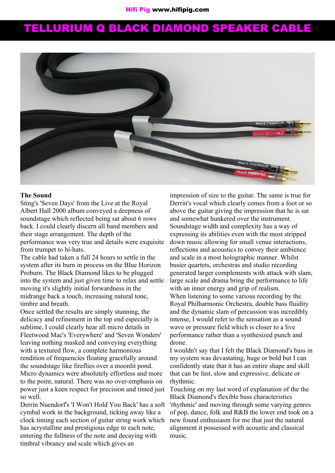

### **The Sound**

Sting's 'Seven Days' from the Live at the Royal Albert Hall 2000 album conveyed a deepness of soundstage which reflected being sat about 6 rows back. I could clearly discern all band members and their stage arrangement. The depth of the performance was very true and details were exquisite from trumpet to hi-hats.

The cable had taken a full 24 hours to settle in the system after its burn in process on the Blue Horizon Proburn. The Black Diamond likes to be plugged into the system and just given time to relax and settle moving it's slightly initial forwardness in the midrange back a touch, increasing natural tone, timbre and breath.

Once settled the results are simply stunning, the delicacy and refinement in the top end especially is sublime, I could clearly hear all micro details in Fleetwood Mac's 'Everywhere' and 'Seven Wonders' leaving nothing masked and conveying everything with a textured flow, a complete harmonious rendition of frequencies floating gracefully around the soundstage like fireflies over a moonlit pond. Micro dynamics were absolutely effortless and more to the point, natural. There was no over-emphasis on power just a keen respect for precision and timed just so well.

Derrin Nuendorf's 'I Won't Hold You Back' has a soft cymbal work in the background, ticking away like a clock timing each section of guitar string work which has acrystalline and prestigious edge to each note, entering the fullness of the note and decaying with timbral vibrancy and scale which gives an

impression of size to the guitar. The same is true for Derrin's vocal which clearly comes from a foot or so above the guitar giving the impression that he is sat and somewhat hunkered over the instrument. Soundstage width and complexity has a way of expressing its abilities even with the most stripped down music allowing for small venue interactions, reflections and acoustics to convey their ambience and scale in a most holographic manner. Whilst busier quartets, orchestras and studio recording generated larger complements with attack with slam, large scale and drama bring the performance to life with an inner energy and grip of realism. When listening to some various recording by the Royal Philharmonic Orchestra, double bass fluidity and the dynamic slam of percussion was incredibly intense, I would refer to the sensation as a sound wave or pressure field which is closer to a live performance rather than a synthesized punch and drone.

I wouldn't say that I felt the Black Diamond's bass in my system was devastating, huge or bold but I can confidently state that it has an entire shape and skill that can be fast, slow and expressive, delicate or rhythmic.

Touching on my last word of explanation of the the Black Diamond's flexible bass characteristics 'rhythmic' and moving through some varying genres of pop, dance, folk and R&B the lower end took on a new found enthusiasm for me that just the natural alignment it possessed with acoustic and classical music.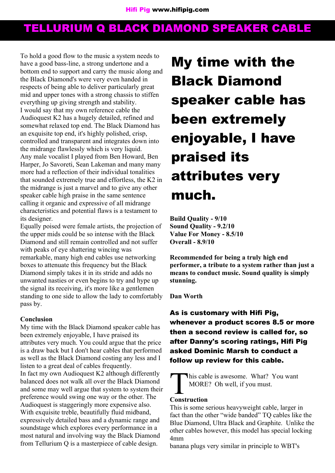To hold a good flow to the music a system needs to have a good bass-line, a strong undertone and a bottom end to support and carry the music along and the Black Diamond's were very even handed in respects of being able to deliver particularly great mid and upper tones with a strong chassis to stiffen everything up giving strength and stability. I would say that my own reference cable the Audioquest K2 has a hugely detailed, refined and somewhat relaxed top end. The Black Diamond has an exquisite top end, it's highly polished, crisp, controlled and transparent and integrates down into the midrange flawlessly which is very liquid. Any male vocalist I played from Ben Howard, Ben Harper, Jo Savoreti, Sean Lakeman and many many more had a reflection of their individual tonalities that sounded extremely true and effortless, the K2 in the midrange is just a marvel and to give any other speaker cable high praise in the same sentence calling it organic and expressive of all midrange characteristics and potential flaws is a testament to its designer.

Equally poised were female artists, the projection of the upper mids could be so intense with the Black Diamond and still remain controlled and not suffer with peaks of eye shattering wincing was remarkable, many high end cables use networking boxes to attenuate this frequency but the Black Diamond simply takes it in its stride and adds no unwanted nasties or even begins to try and hype up the signal its receiving, it's more like a gentlemen standing to one side to allow the lady to comfortably pass by.

### **Conclusion**

My time with the Black Diamond speaker cable has been extremely enjoyable, I have praised its attributes very much. You could argue that the price is a draw back but I don't hear cables that performed as well as the Black Diamond costing any less and I listen to a great deal of cables frequently. In fact my own Audioquest K2 although differently balanced does not walk all over the Black Diamond and some may well argue that system to system their preference would swing one way or the other. The Audioquest is staggeringly more expensive also. With exquisite treble, beautifully fluid midband, expressively detailed bass and a dynamic range and soundstage which explores every performance in a most natural and involving way the Black Diamond from Tellurium Q is a masterpiece of cable design.

**My time with the Black Diamond speaker cable has been extremely enjoyable, I have praised its attributes very much.**

**Build Quality - 9/10 Sound Quality - 9.2/10 Value For Money - 8.5/10 Overall - 8.9/10**

**Recommended for being a truly high end performer, a tribute to a system rather than just a means to conduct music. Sound quality is simply stunning.**

**Dan Worth**

**As is customary with Hifi Pig, whenever a product scores 8.5 or more then a second review is called for, so after Danny's scoring ratings, Hifi Pig asked Dominic Marsh to conduct a follow up review for this cable.**

**CONSTREEM**<br> **Construction This cable is awesome. What? You want** MORE? Oh well, if you must.

This is some serious heavyweight cable, larger in fact than the other "wide banded" TO cables like the Blue Diamond, Ultra Black and Graphite. Unlike the other cables however, this model has special locking 4mm

banana plugs very similar in principle to WBT's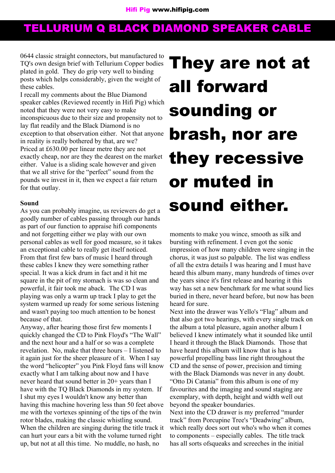0644 classic straight connectors, but manufactured to TQ's own design brief with Tellurium Copper bodies plated in gold. They do grip very well to binding posts which helps considerably, given the weight of these cables.

I recall my comments about the Blue Diamond speaker cables (Reviewed recently in Hifi Pig) which noted that they were not very easy to make inconspicuous due to their size and propensity not to lay flat readily and the Black Diamond is no exception to that observation either. Not that anyone in reality is really bothered by that, are we? Priced at £630.00 per linear metre they are not exactly cheap, nor are they the dearest on the market either. Value is a sliding scale however and given that we all strive for the "perfect" sound from the pounds we invest in it, then we expect a fair return for that outlay.

### **Sound**

As you can probably imagine, us reviewers do get a goodly number of cables passing through our hands as part of our function to appraise hifi components and not forgetting either we play with our own personal cables as well for good measure, so it takes an exceptional cable to really get itself noticed. From that first few bars of music I heard through these cables I knew they were something rather special. It was a kick drum in fact and it hit me square in the pit of my stomach is was so clean and powerful, it fair took me aback. The CD I was playing was only a warm up track I play to get the system warmed up ready for some serious listening and wasn't paying too much attention to be honest because of that.

Anyway, after hearing those first few moments I quickly changed the CD to Pink Floyd's "The Wall" and the next hour and a half or so was a complete revelation. No, make that three hours – I listened to it again just for the sheer pleasure of it. When I say the word "helicopter" you Pink Floyd fans will know exactly what I am talking about now and I have never heard that sound better in 20+ years than I have with the TQ Black Diamonds in my system. If I shut my eyes I wouldn't know any better than having this machine hovering less than 50 feet above me with the vortexes spinning of the tips of the twin rotor blades, making the classic whistling sound. When the children are singing during the title track it can hurt your ears a bit with the volume turned right up, but not at all this time. No muddle, no hash, no

# **They are not at all forward sounding or brash, nor are they recessive or muted in sound either.**

moments to make you wince, smooth as silk and bursting with refinement. I even got the sonic impression of how many children were singing in the chorus, it was just so palpable. The list was endless of all the extra details I was hearing and I must have heard this album many, many hundreds of times over the years since it's first release and hearing it this way has set a new benchmark for me what sound lies buried in there, never heard before, but now has been heard for sure.

Next into the drawer was Yello's "Flag" album and that also got two hearings, with every single track on the album a total pleasure, again another album I believed I knew intimately what it sounded like until I heard it through the Black Diamonds. Those that have heard this album will know that is has a powerful propelling bass line right throughout the CD and the sense of power, precision and timing with the Black Diamonds was never in any doubt. "Otto Di Catania" from this album is one of my favourites and the imaging and sound staging are exemplary, with depth, height and width well out beyond the speaker boundaries.

Next into the CD drawer is my preferred "murder track" from Porcupine Tree's "Deadwing" album, which really does sort out who's who when it comes to components – especially cables. The title track has all sorts ofsqueaks and screeches in the initial